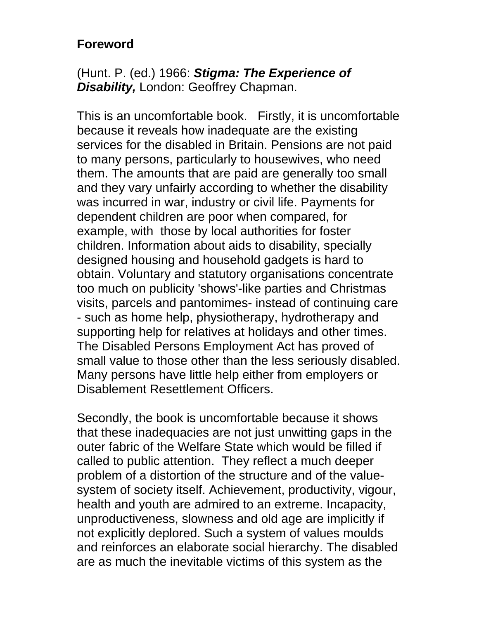## **Foreword**

## (Hunt. P. (ed.) 1966: *Stigma: The Experience of Disability,* London: Geoffrey Chapman.

This is an uncomfortable book. Firstly, it is uncomfortable because it reveals how inadequate are the existing services for the disabled in Britain. Pensions are not paid to many persons, particularly to housewives, who need them. The amounts that are paid are generally too small and they vary unfairly according to whether the disability was incurred in war, industry or civil life. Payments for dependent children are poor when compared, for example, with those by local authorities for foster children. Information about aids to disability, specially designed housing and household gadgets is hard to obtain. Voluntary and statutory organisations concentrate too much on publicity 'shows'-like parties and Christmas visits, parcels and pantomimes- instead of continuing care - such as home help, physiotherapy, hydrotherapy and supporting help for relatives at holidays and other times. The Disabled Persons Employment Act has proved of small value to those other than the less seriously disabled. Many persons have little help either from employers or Disablement Resettlement Officers.

Secondly, the book is uncomfortable because it shows that these inadequacies are not just unwitting gaps in the outer fabric of the Welfare State which would be filled if called to public attention. They reflect a much deeper problem of a distortion of the structure and of the valuesystem of society itself. Achievement, productivity, vigour, health and youth are admired to an extreme. Incapacity, unproductiveness, slowness and old age are implicitly if not explicitly deplored. Such a system of values moulds and reinforces an elaborate social hierarchy. The disabled are as much the inevitable victims of this system as the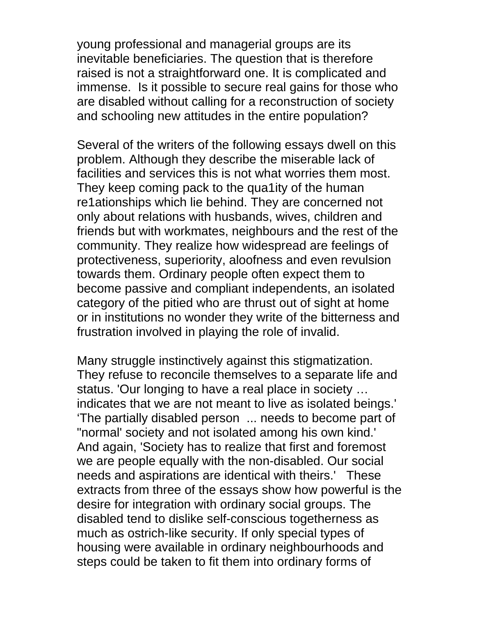young professional and managerial groups are its inevitable beneficiaries. The question that is therefore raised is not a straightforward one. It is complicated and immense. Is it possible to secure real gains for those who are disabled without calling for a reconstruction of society and schooling new attitudes in the entire population?

Several of the writers of the following essays dwell on this problem. Although they describe the miserable lack of facilities and services this is not what worries them most. They keep coming pack to the qua1ity of the human re1ationships which lie behind. They are concerned not only about relations with husbands, wives, children and friends but with workmates, neighbours and the rest of the community. They realize how widespread are feelings of protectiveness, superiority, aloofness and even revulsion towards them. Ordinary people often expect them to become passive and compliant independents, an isolated category of the pitied who are thrust out of sight at home or in institutions no wonder they write of the bitterness and frustration involved in playing the role of invalid.

Many struggle instinctively against this stigmatization. They refuse to reconcile themselves to a separate life and status. 'Our longing to have a real place in society … indicates that we are not meant to live as isolated beings.' 'The partially disabled person ... needs to become part of "normal' society and not isolated among his own kind.' And again, 'Society has to realize that first and foremost we are people equally with the non-disabled. Our social needs and aspirations are identical with theirs.' These extracts from three of the essays show how powerful is the desire for integration with ordinary social groups. The disabled tend to dislike self-conscious togetherness as much as ostrich-like security. If only special types of housing were available in ordinary neighbourhoods and steps could be taken to fit them into ordinary forms of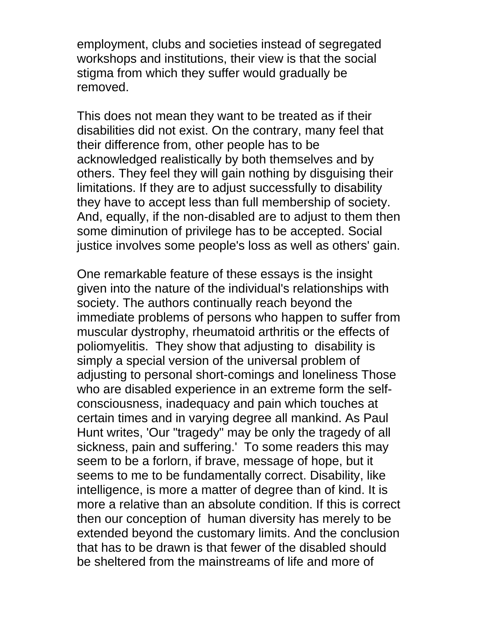employment, clubs and societies instead of segregated workshops and institutions, their view is that the social stigma from which they suffer would gradually be removed.

This does not mean they want to be treated as if their disabilities did not exist. On the contrary, many feel that their difference from, other people has to be acknowledged realistically by both themselves and by others. They feel they will gain nothing by disguising their limitations. If they are to adjust successfully to disability they have to accept less than full membership of society. And, equally, if the non-disabled are to adjust to them then some diminution of privilege has to be accepted. Social justice involves some people's loss as well as others' gain.

One remarkable feature of these essays is the insight given into the nature of the individual's relationships with society. The authors continually reach beyond the immediate problems of persons who happen to suffer from muscular dystrophy, rheumatoid arthritis or the effects of poliomyelitis. They show that adjusting to disability is simply a special version of the universal problem of adjusting to personal short-comings and loneliness Those who are disabled experience in an extreme form the selfconsciousness, inadequacy and pain which touches at certain times and in varying degree all mankind. As Paul Hunt writes, 'Our "tragedy" may be only the tragedy of all sickness, pain and suffering.' To some readers this may seem to be a forlorn, if brave, message of hope, but it seems to me to be fundamentally correct. Disability, like intelligence, is more a matter of degree than of kind. It is more a relative than an absolute condition. If this is correct then our conception of human diversity has merely to be extended beyond the customary limits. And the conclusion that has to be drawn is that fewer of the disabled should be sheltered from the mainstreams of life and more of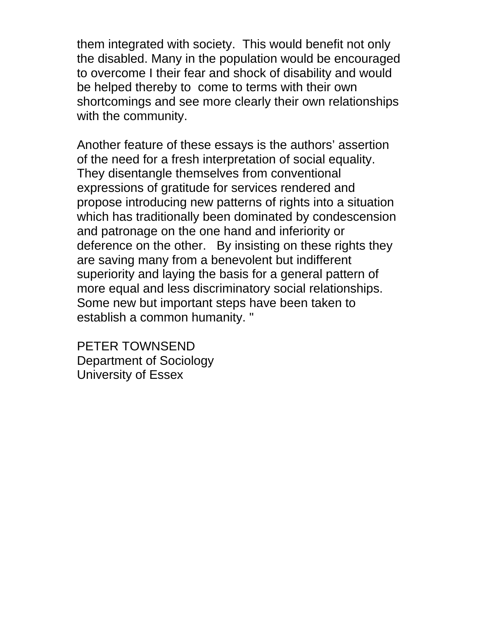them integrated with society. This would benefit not only the disabled. Many in the population would be encouraged to overcome I their fear and shock of disability and would be helped thereby to come to terms with their own shortcomings and see more clearly their own relationships with the community.

Another feature of these essays is the authors' assertion of the need for a fresh interpretation of social equality. They disentangle themselves from conventional expressions of gratitude for services rendered and propose introducing new patterns of rights into a situation which has traditionally been dominated by condescension and patronage on the one hand and inferiority or deference on the other. By insisting on these rights they are saving many from a benevolent but indifferent superiority and laying the basis for a general pattern of more equal and less discriminatory social relationships. Some new but important steps have been taken to establish a common humanity. "

PETER TOWNSEND Department of Sociology University of Essex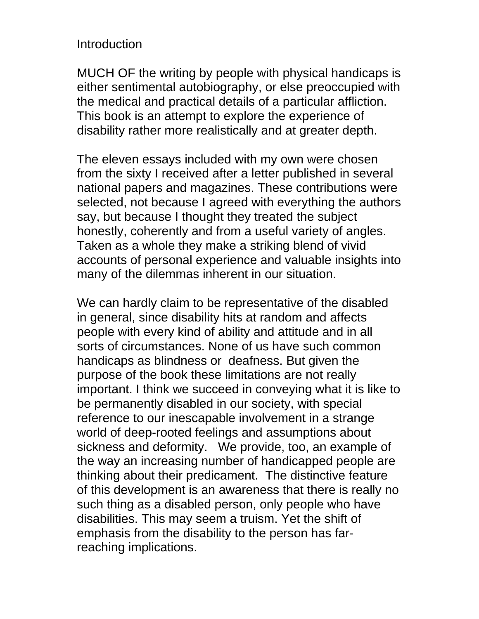## Introduction

MUCH OF the writing by people with physical handicaps is either sentimental autobiography, or else preoccupied with the medical and practical details of a particular affliction. This book is an attempt to explore the experience of disability rather more realistically and at greater depth.

The eleven essays included with my own were chosen from the sixty I received after a letter published in several national papers and magazines. These contributions were selected, not because I agreed with everything the authors say, but because I thought they treated the subject honestly, coherently and from a useful variety of angles. Taken as a whole they make a striking blend of vivid accounts of personal experience and valuable insights into many of the dilemmas inherent in our situation.

We can hardly claim to be representative of the disabled in general, since disability hits at random and affects people with every kind of ability and attitude and in all sorts of circumstances. None of us have such common handicaps as blindness or deafness. But given the purpose of the book these limitations are not really important. I think we succeed in conveying what it is like to be permanently disabled in our society, with special reference to our inescapable involvement in a strange world of deep-rooted feelings and assumptions about sickness and deformity. We provide, too, an example of the way an increasing number of handicapped people are thinking about their predicament. The distinctive feature of this development is an awareness that there is really no such thing as a disabled person, only people who have disabilities. This may seem a truism. Yet the shift of emphasis from the disability to the person has farreaching implications.